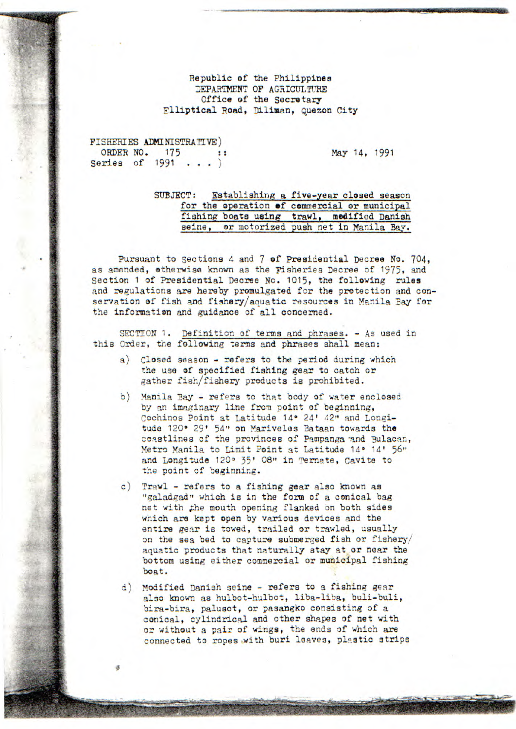Republic of the Philippines DEPARTMENT OF AGRICULTURE Office of the Secretary Elliptical Road, Diliman, Quezon City

FISHERIES ADMINISTRATIVE) ORDER NO. 175 :: May 14, 1991 **Series** of 1991

## SUBJECT: Establishing **a five-year** closed season for the operation of commercial or municipal fishing boats using trawl, modified Danish seine, or motorized push net **in** Manila Bay.

Pursuant to Sections 4 and 7 **of** Presidential Decree **No.** 704, as amended, otherwise known as the Fisheries Decree of 1975, and Section 1 of Presidential Decree No. 1015, the following rules and regulations are hereby promulgated for the protection and conservation of fish and fishery/aquatic resources in Manila Bay for the information and guidance of all concerned.

SECTION 1. Definition of terms and phrases. - As used in this Order, the following terms and phrases shall mean:

- a) Closed season refers to the period during which the use of specified fishing gear to catch or gather fish/fishery products is prohibited.
- b) Manila Bay refers to that body of water enclosed by an imaginary line from point of beginning, Cochinos Point at Latitude 14° 24' 42" and Longitude 120° 29' 54" on Mariveles Bataan towards the coastlines of the provinces of Pampanga and Bulacan, Metro Manila to Limit Point at Latitude 14° 14' 56" and Longitude 120° 35' 08" in Ternate, Cavite to the point of beginning.
- c) Trawl refers to a fishing gear also known as "galadgad" which is in the form of a conical bag net with the mouth opening flanked on both sides which are kept open by various devices and the entire gear is towed, trailed or trawled, usually on the sea bed to capture submerged fish or fishery/ aquatic products that naturally stay at or near the bottom using either commercial or municipal fishing boat.
- d) Modified Danish seine refers to a fishing gear also known as hulbot-hulbot, liba-liha, buli-buli, bira-bira, palusot, or pasangko consisting of a conical, cylindrical and other shapes of net with or without a pair of wings, the ends of which are connected to ropes with buri leaves, plastic strips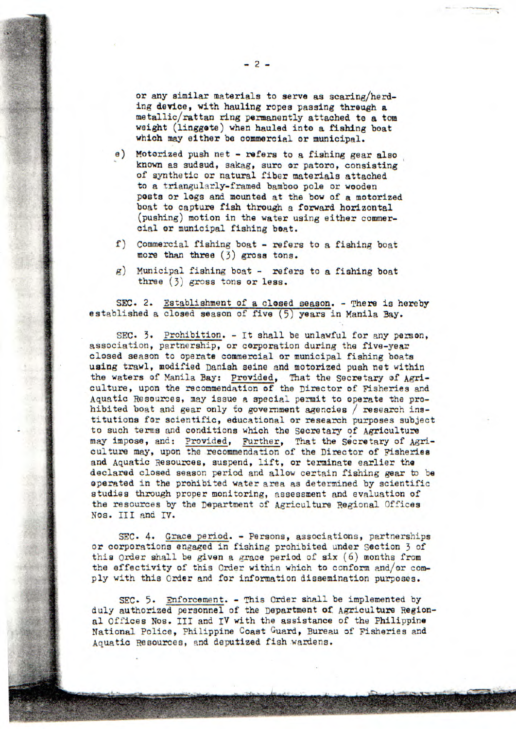or any similar materials to serve as scaring/herding **device,** with hauling ropes passing through a metallic/rattan ring permanently attached te a tom weight (linggote) when hauled into a fishing boat which may either be commercial or municipal.

- e) Motorized push net refers to a fishing gear also known as sudsud, sakag, euro or patoro, consisting of synthetic or natural fiber materials attached to a triangularly-framed bamboo pole or wooden posts or logs and mounted at the bow of a motorized boat to capture fish through a forward horizontal (pushing) motion in the water using either commercial or municipal fishing boat.
- f) Commercial fishing boat refers to a fishing boat more than three (3) gross tons.
- g) Municipal fishing boat refers to a fishing boat three (3) gross tons or less.

SEC. 2. Establishment of a closed season. - There is hereby established a closed season of five (5) years in Manila Bay.

SEC. 3. Prohibition. - It shall be unlawful for any person, association, partnership, or corporation during the five-year closed season to operate commercial or municipal fishing boats using trawl, modified Danish seine and motorized push net within the waters of Manila Bay: Provided, That the Secretary of Agriculture, upon the recommendation of the Director of Fisheries and Aquatic Resources, may issue a special permit to operate the prohibited boat and gear only to government agencies / research institutions for scientific, educational or research purposes subject to such terms and conditions which the Secretary of Agriculture may impose, and: Provided, Further, That the Secretary of Agriculture may, upon the recommendation of the Director of Fisheries and Aquatic Resources, suspend, lift, or terminate earlier the declared closed season period and allow certain fishing gear to be operated in the prohibited water area as determined by scientific studies through proper monitoring, assessment and evaluation of the resources by the Department of Agriculture Regional Offices Nos. III and IV.

SEC. 4. Grace period. - Persons, associations, partnerships or corporations engaged in fishing prohibited under Section 3 of this Order shall be given a grace period of six  $(6)$  months from the effectivity of this Order within which to conform and/or comply with this Order and for information dissemination purposes.

SEC. 5. Enforcement. - This Order shall be implemented by duly authorized personnel of the Department of Agriculture Regional Offices Nos. III and IV with the assistance of the Philippine National Police, Philippine Coast Guard, Bureau of Fisheries and Aquatic Resources, and deputized fish wardens.